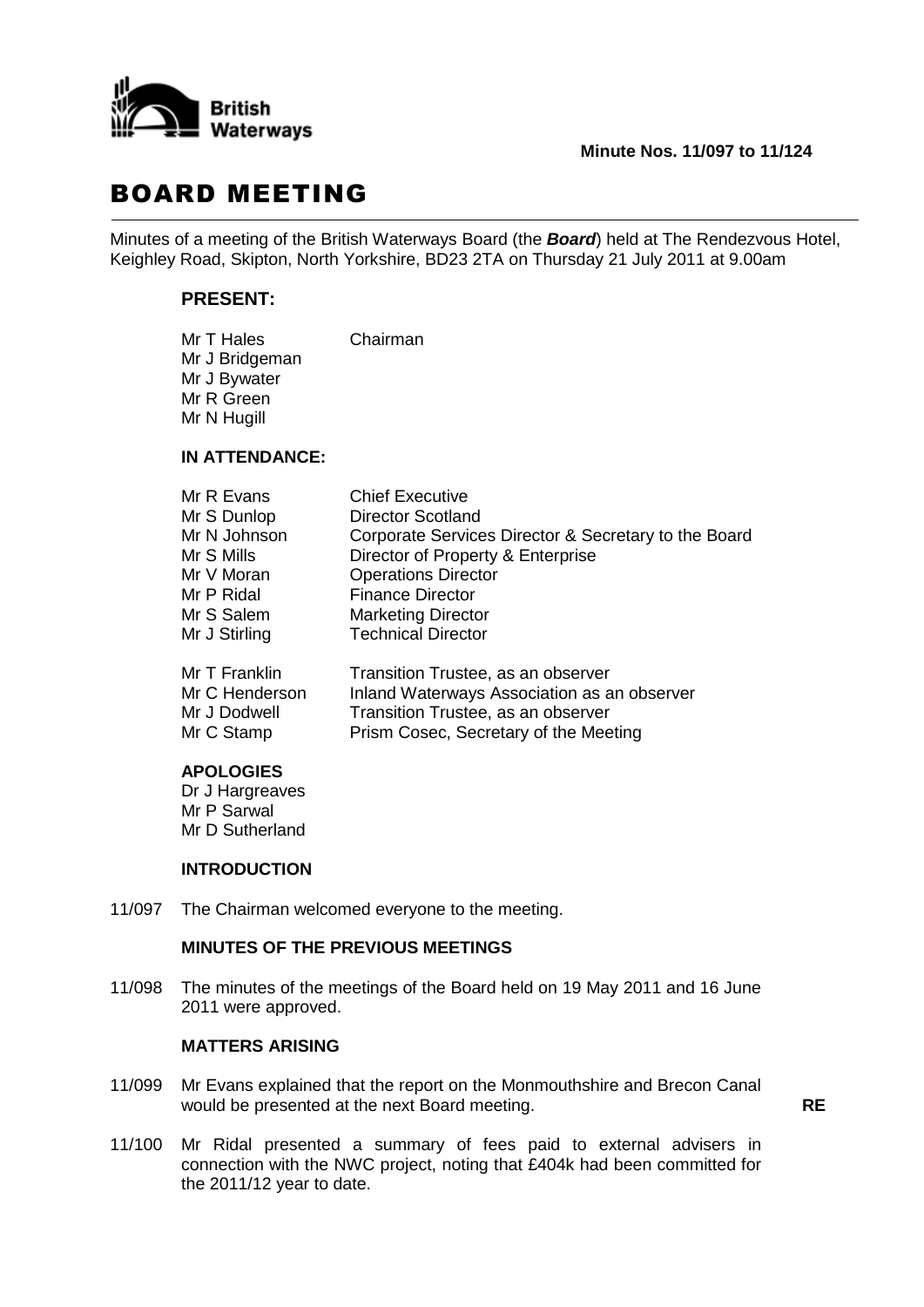

## BOARD MEETING

Minutes of a meeting of the British Waterways Board (the *Board*) held at The Rendezvous Hotel, Keighley Road, Skipton, North Yorkshire, BD23 2TA on Thursday 21 July 2011 at 9.00am

## **PRESENT:**

| Mr T Hales     | Chairman |
|----------------|----------|
| Mr J Bridgeman |          |
| Mr J Bywater   |          |
| Mr R Green     |          |
| Mr N Hugill    |          |

### **IN ATTENDANCE:**

| Mr R Evans     | <b>Chief Executive</b>                               |
|----------------|------------------------------------------------------|
| Mr S Dunlop    | <b>Director Scotland</b>                             |
| Mr N Johnson   | Corporate Services Director & Secretary to the Board |
| Mr S Mills     | Director of Property & Enterprise                    |
| Mr V Moran     | <b>Operations Director</b>                           |
| Mr P Ridal     | <b>Finance Director</b>                              |
| Mr S Salem     | <b>Marketing Director</b>                            |
| Mr J Stirling  | <b>Technical Director</b>                            |
| Mr T Franklin  | Transition Trustee, as an observer                   |
| Mr C Henderson | Inland Waterways Association as an observer          |
| Mr J Dodwell   | Transition Trustee, as an observer                   |

# Mr C Stamp Prism Cosec, Secretary of the Meeting

## **APOLOGIES**

Dr J Hargreaves Mr P Sarwal Mr D Sutherland

#### **INTRODUCTION**

11/097 The Chairman welcomed everyone to the meeting.

## **MINUTES OF THE PREVIOUS MEETINGS**

11/098 The minutes of the meetings of the Board held on 19 May 2011 and 16 June 2011 were approved.

## **MATTERS ARISING**

- 11/099 Mr Evans explained that the report on the Monmouthshire and Brecon Canal would be presented at the next Board meeting. **RE**
- 11/100 Mr Ridal presented a summary of fees paid to external advisers in connection with the NWC project, noting that £404k had been committed for the 2011/12 year to date.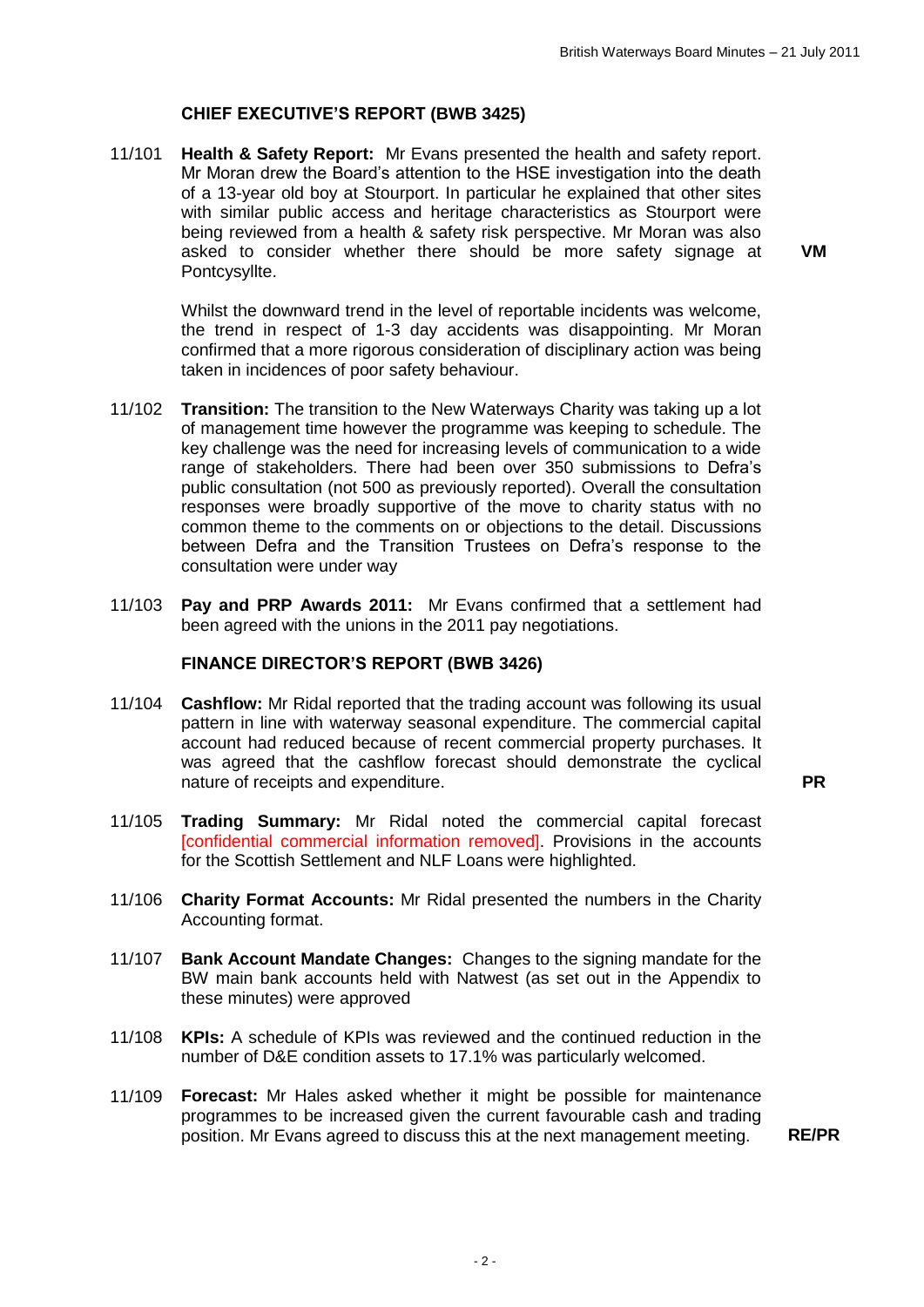## **CHIEF EXECUTIVE'S REPORT (BWB 3425)**

11/101 **Health & Safety Report:** Mr Evans presented the health and safety report. Mr Moran drew the Board's attention to the HSE investigation into the death of a 13-year old boy at Stourport. In particular he explained that other sites with similar public access and heritage characteristics as Stourport were being reviewed from a health & safety risk perspective. Mr Moran was also asked to consider whether there should be more safety signage at Pontcysyllte.

**VM**

Whilst the downward trend in the level of reportable incidents was welcome, the trend in respect of 1-3 day accidents was disappointing. Mr Moran confirmed that a more rigorous consideration of disciplinary action was being taken in incidences of poor safety behaviour.

- 11/102 **Transition:** The transition to the New Waterways Charity was taking up a lot of management time however the programme was keeping to schedule. The key challenge was the need for increasing levels of communication to a wide range of stakeholders. There had been over 350 submissions to Defra's public consultation (not 500 as previously reported). Overall the consultation responses were broadly supportive of the move to charity status with no common theme to the comments on or objections to the detail. Discussions between Defra and the Transition Trustees on Defra's response to the consultation were under way
- 11/103 **Pay and PRP Awards 2011:** Mr Evans confirmed that a settlement had been agreed with the unions in the 2011 pay negotiations.

#### **FINANCE DIRECTOR'S REPORT (BWB 3426)**

11/104 **Cashflow:** Mr Ridal reported that the trading account was following its usual pattern in line with waterway seasonal expenditure. The commercial capital account had reduced because of recent commercial property purchases. It was agreed that the cashflow forecast should demonstrate the cyclical nature of receipts and expenditure. **PR**

- 11/105 **Trading Summary:** Mr Ridal noted the commercial capital forecast [confidential commercial information removed]. Provisions in the accounts for the Scottish Settlement and NLF Loans were highlighted.
- 11/106 **Charity Format Accounts:** Mr Ridal presented the numbers in the Charity Accounting format.
- 11/107 **Bank Account Mandate Changes:** Changes to the signing mandate for the BW main bank accounts held with Natwest (as set out in the Appendix to these minutes) were approved
- 11/108 **KPIs:** A schedule of KPIs was reviewed and the continued reduction in the number of D&E condition assets to 17.1% was particularly welcomed.
- 11/109 **Forecast:** Mr Hales asked whether it might be possible for maintenance programmes to be increased given the current favourable cash and trading position. Mr Evans agreed to discuss this at the next management meeting. **RE/PR**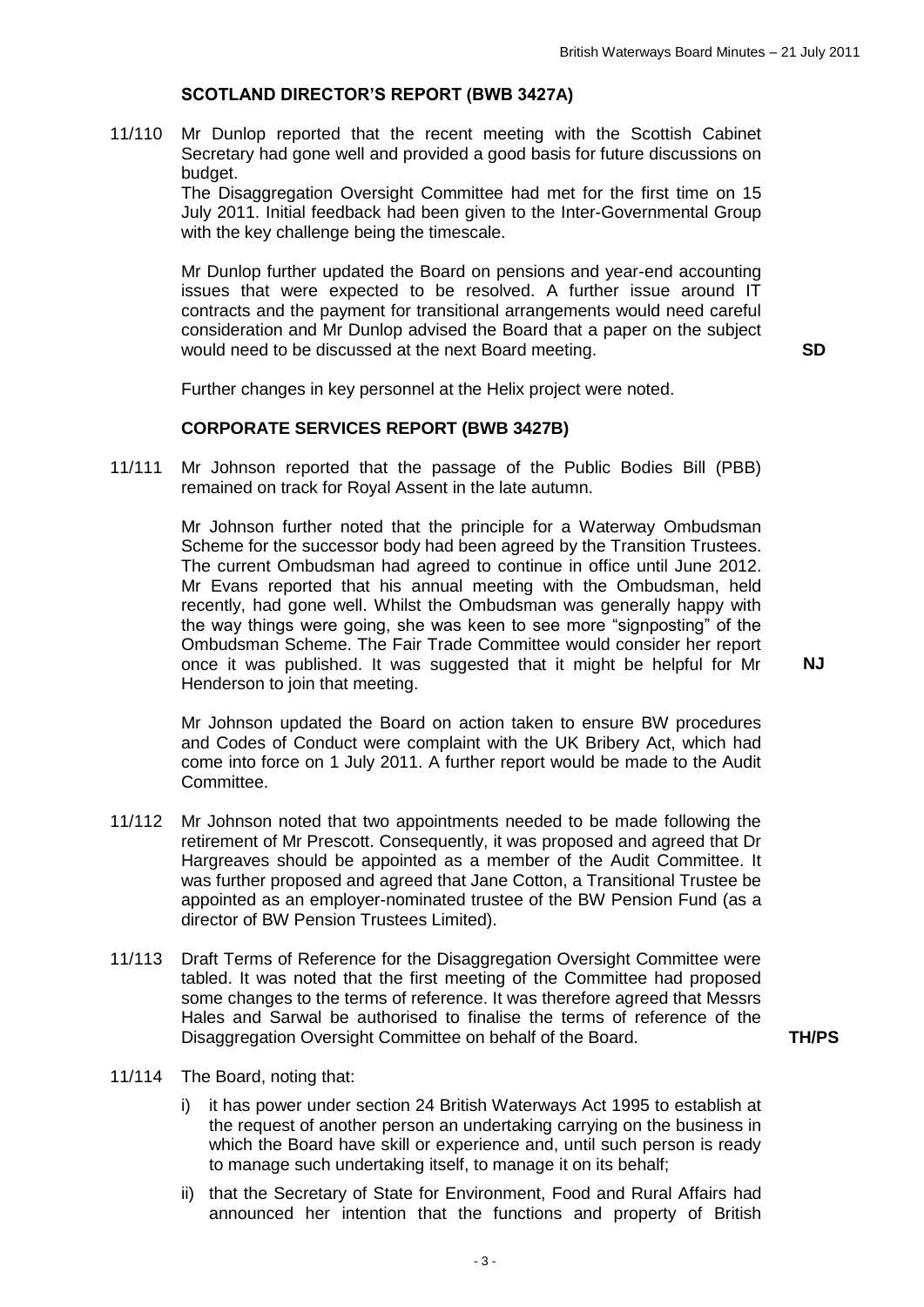## **SCOTLAND DIRECTOR'S REPORT (BWB 3427A)**

11/110 Mr Dunlop reported that the recent meeting with the Scottish Cabinet Secretary had gone well and provided a good basis for future discussions on budget.

> The Disaggregation Oversight Committee had met for the first time on 15 July 2011. Initial feedback had been given to the Inter-Governmental Group with the key challenge being the timescale.

Mr Dunlop further updated the Board on pensions and year-end accounting issues that were expected to be resolved. A further issue around IT contracts and the payment for transitional arrangements would need careful consideration and Mr Dunlop advised the Board that a paper on the subject would need to be discussed at the next Board meeting. **SD**

**NJ**

Further changes in key personnel at the Helix project were noted.

#### **CORPORATE SERVICES REPORT (BWB 3427B)**

11/111 Mr Johnson reported that the passage of the Public Bodies Bill (PBB) remained on track for Royal Assent in the late autumn.

> Mr Johnson further noted that the principle for a Waterway Ombudsman Scheme for the successor body had been agreed by the Transition Trustees. The current Ombudsman had agreed to continue in office until June 2012. Mr Evans reported that his annual meeting with the Ombudsman, held recently, had gone well. Whilst the Ombudsman was generally happy with the way things were going, she was keen to see more "signposting" of the Ombudsman Scheme. The Fair Trade Committee would consider her report once it was published. It was suggested that it might be helpful for Mr Henderson to join that meeting.

> Mr Johnson updated the Board on action taken to ensure BW procedures and Codes of Conduct were complaint with the UK Bribery Act, which had come into force on 1 July 2011. A further report would be made to the Audit Committee.

- 11/112 Mr Johnson noted that two appointments needed to be made following the retirement of Mr Prescott. Consequently, it was proposed and agreed that Dr Hargreaves should be appointed as a member of the Audit Committee. It was further proposed and agreed that Jane Cotton, a Transitional Trustee be appointed as an employer-nominated trustee of the BW Pension Fund (as a director of BW Pension Trustees Limited).
- 11/113 Draft Terms of Reference for the Disaggregation Oversight Committee were tabled. It was noted that the first meeting of the Committee had proposed some changes to the terms of reference. It was therefore agreed that Messrs Hales and Sarwal be authorised to finalise the terms of reference of the Disaggregation Oversight Committee on behalf of the Board. **TH/PS**
	-

- 11/114 The Board, noting that:
	- i) it has power under section 24 British Waterways Act 1995 to establish at the request of another person an undertaking carrying on the business in which the Board have skill or experience and, until such person is ready to manage such undertaking itself, to manage it on its behalf;
	- ii) that the Secretary of State for Environment, Food and Rural Affairs had announced her intention that the functions and property of British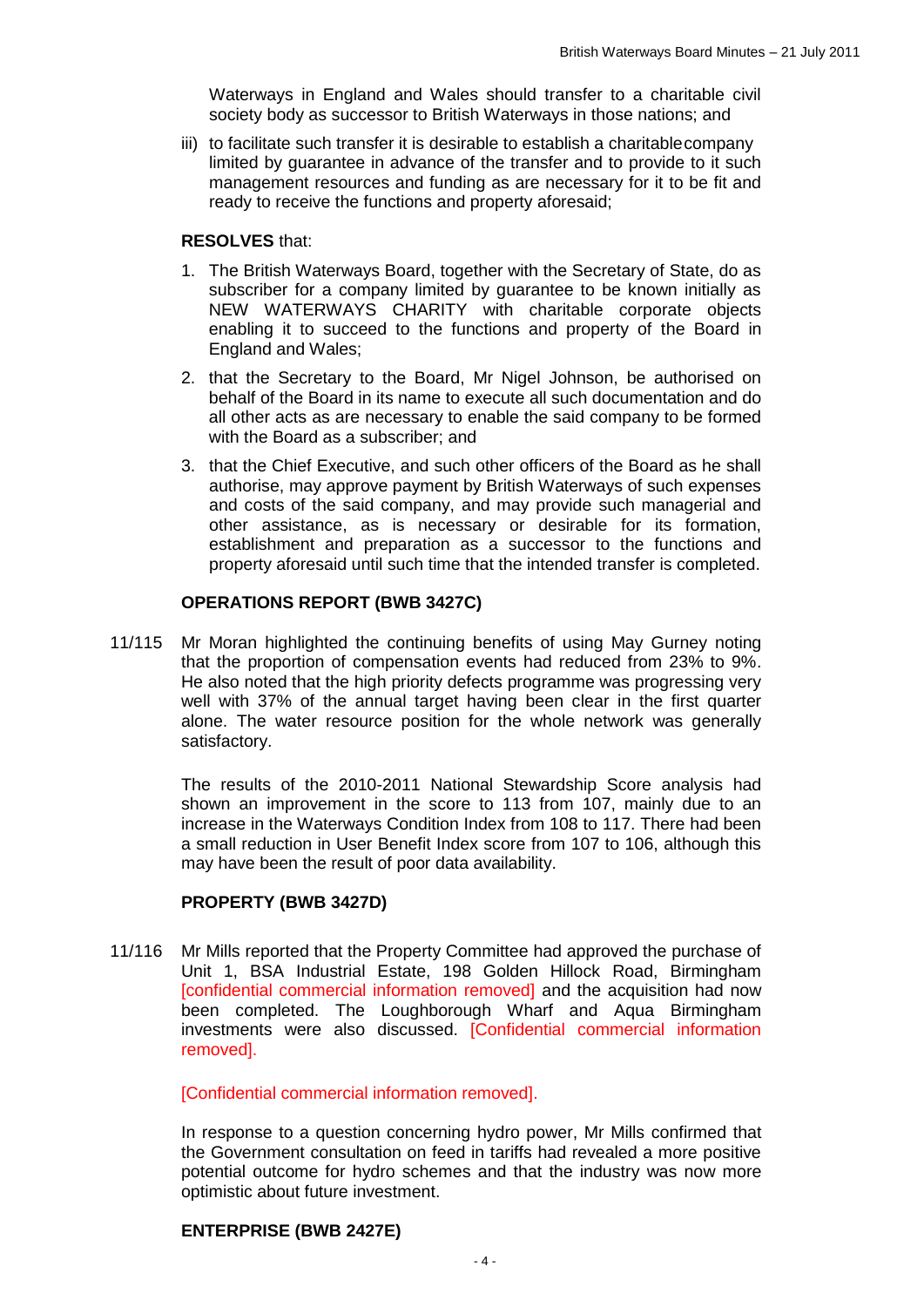Waterways in England and Wales should transfer to a charitable civil society body as successor to British Waterways in those nations; and

iii) to facilitate such transfer it is desirable to establish a charitablecompany limited by guarantee in advance of the transfer and to provide to it such management resources and funding as are necessary for it to be fit and ready to receive the functions and property aforesaid;

#### **RESOLVES** that:

- 1. The British Waterways Board, together with the Secretary of State, do as subscriber for a company limited by guarantee to be known initially as NEW WATERWAYS CHARITY with charitable corporate objects enabling it to succeed to the functions and property of the Board in England and Wales;
- 2. that the Secretary to the Board, Mr Nigel Johnson, be authorised on behalf of the Board in its name to execute all such documentation and do all other acts as are necessary to enable the said company to be formed with the Board as a subscriber; and
- 3. that the Chief Executive, and such other officers of the Board as he shall authorise, may approve payment by British Waterways of such expenses and costs of the said company, and may provide such managerial and other assistance, as is necessary or desirable for its formation, establishment and preparation as a successor to the functions and property aforesaid until such time that the intended transfer is completed.

## **OPERATIONS REPORT (BWB 3427C)**

11/115 Mr Moran highlighted the continuing benefits of using May Gurney noting that the proportion of compensation events had reduced from 23% to 9%. He also noted that the high priority defects programme was progressing very well with 37% of the annual target having been clear in the first quarter alone. The water resource position for the whole network was generally satisfactory.

> The results of the 2010-2011 National Stewardship Score analysis had shown an improvement in the score to 113 from 107, mainly due to an increase in the Waterways Condition Index from 108 to 117. There had been a small reduction in User Benefit Index score from 107 to 106, although this may have been the result of poor data availability.

## **PROPERTY (BWB 3427D)**

11/116 Mr Mills reported that the Property Committee had approved the purchase of Unit 1, BSA Industrial Estate, 198 Golden Hillock Road, Birmingham [confidential commercial information removed] and the acquisition had now been completed. The Loughborough Wharf and Aqua Birmingham investments were also discussed. [Confidential commercial information removed].

[Confidential commercial information removed].

In response to a question concerning hydro power, Mr Mills confirmed that the Government consultation on feed in tariffs had revealed a more positive potential outcome for hydro schemes and that the industry was now more optimistic about future investment.

## **ENTERPRISE (BWB 2427E)**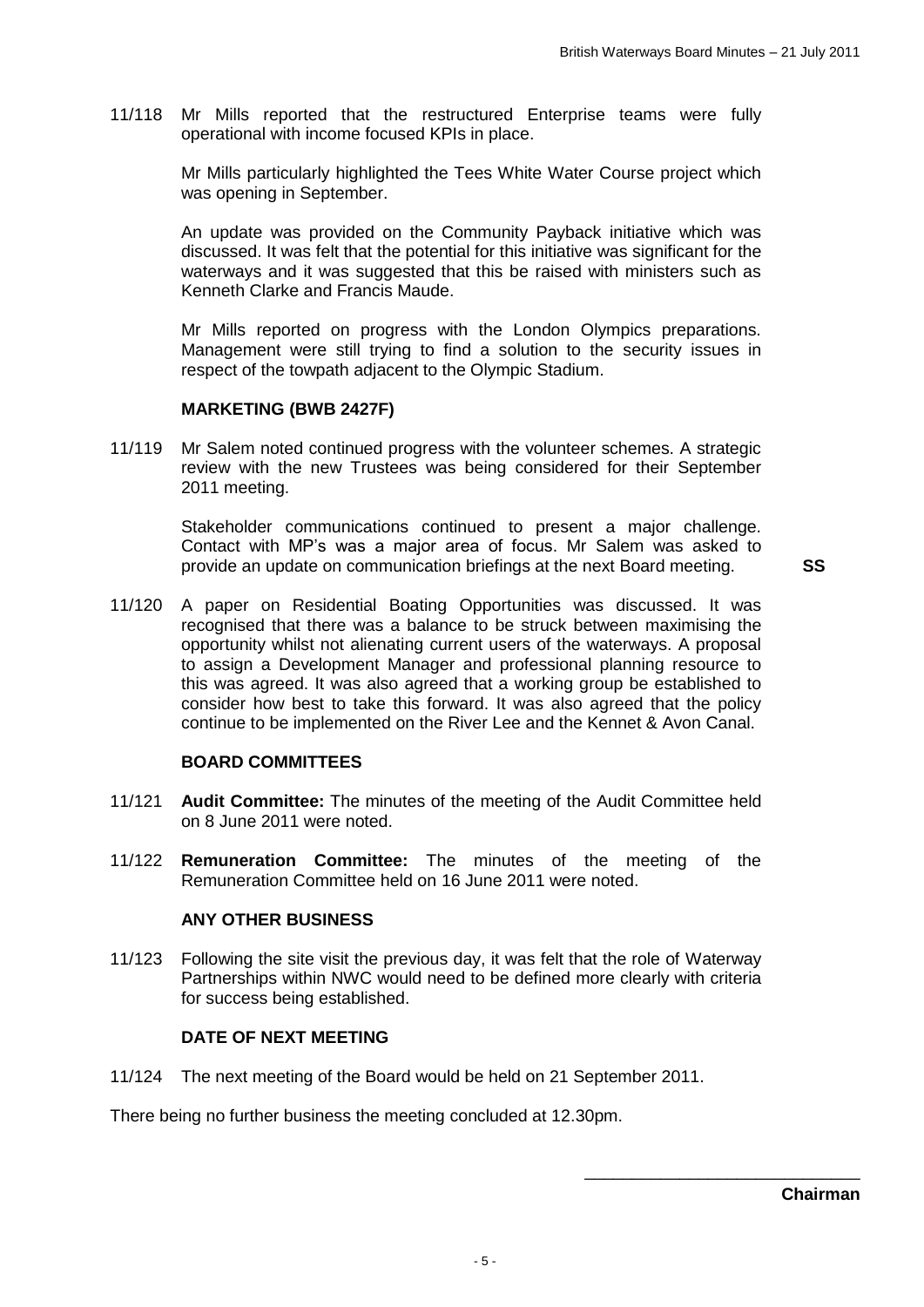11/118 Mr Mills reported that the restructured Enterprise teams were fully operational with income focused KPIs in place.

> Mr Mills particularly highlighted the Tees White Water Course project which was opening in September.

> An update was provided on the Community Payback initiative which was discussed. It was felt that the potential for this initiative was significant for the waterways and it was suggested that this be raised with ministers such as Kenneth Clarke and Francis Maude.

> Mr Mills reported on progress with the London Olympics preparations. Management were still trying to find a solution to the security issues in respect of the towpath adjacent to the Olympic Stadium.

#### **MARKETING (BWB 2427F)**

11/119 Mr Salem noted continued progress with the volunteer schemes. A strategic review with the new Trustees was being considered for their September 2011 meeting.

> Stakeholder communications continued to present a major challenge. Contact with MP's was a major area of focus. Mr Salem was asked to provide an update on communication briefings at the next Board meeting. **SS**

11/120 A paper on Residential Boating Opportunities was discussed. It was recognised that there was a balance to be struck between maximising the opportunity whilst not alienating current users of the waterways. A proposal to assign a Development Manager and professional planning resource to this was agreed. It was also agreed that a working group be established to consider how best to take this forward. It was also agreed that the policy continue to be implemented on the River Lee and the Kennet & Avon Canal.

#### **BOARD COMMITTEES**

- 11/121 **Audit Committee:** The minutes of the meeting of the Audit Committee held on 8 June 2011 were noted.
- 11/122 **Remuneration Committee:** The minutes of the meeting of the Remuneration Committee held on 16 June 2011 were noted.

#### **ANY OTHER BUSINESS**

11/123 Following the site visit the previous day, it was felt that the role of Waterway Partnerships within NWC would need to be defined more clearly with criteria for success being established.

#### **DATE OF NEXT MEETING**

11/124 The next meeting of the Board would be held on 21 September 2011.

There being no further business the meeting concluded at 12.30pm.

\_\_\_\_\_\_\_\_\_\_\_\_\_\_\_\_\_\_\_\_\_\_\_\_\_\_\_\_\_